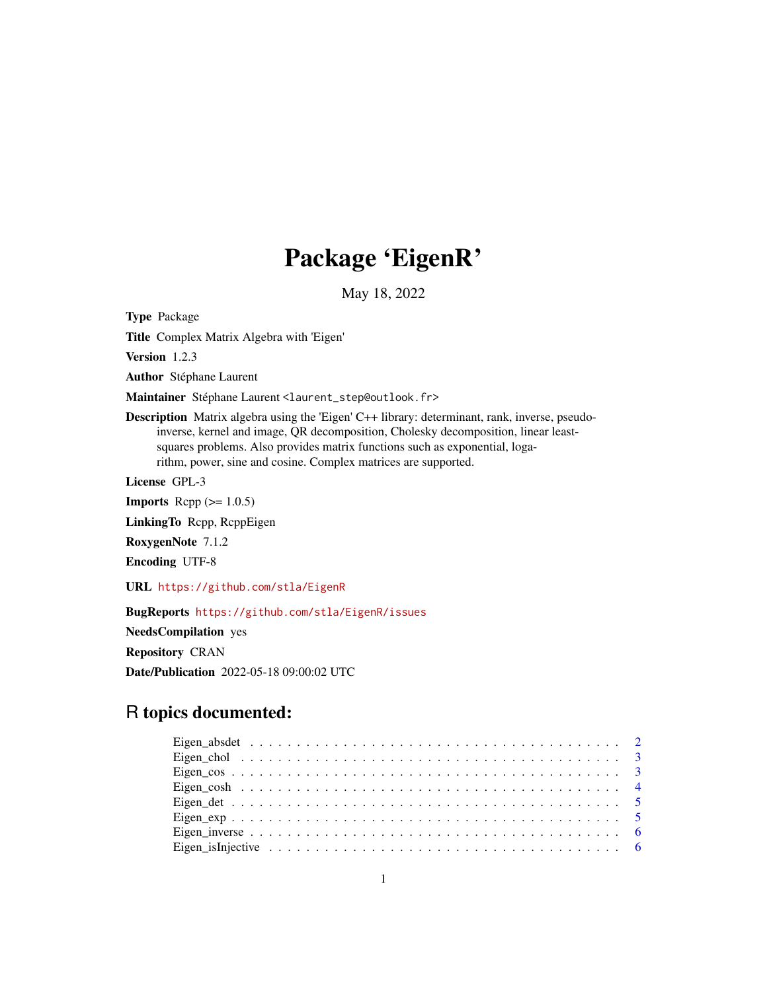# Package 'EigenR'

May 18, 2022

Type Package

Title Complex Matrix Algebra with 'Eigen'

Version 1.2.3

Author Stéphane Laurent

Maintainer Stéphane Laurent <laurent\_step@outlook.fr>

Description Matrix algebra using the 'Eigen' C++ library: determinant, rank, inverse, pseudoinverse, kernel and image, QR decomposition, Cholesky decomposition, linear leastsquares problems. Also provides matrix functions such as exponential, logarithm, power, sine and cosine. Complex matrices are supported.

License GPL-3

**Imports** Rcpp  $(>= 1.0.5)$ 

LinkingTo Rcpp, RcppEigen

RoxygenNote 7.1.2

Encoding UTF-8

URL <https://github.com/stla/EigenR>

BugReports <https://github.com/stla/EigenR/issues> NeedsCompilation yes Repository CRAN Date/Publication 2022-05-18 09:00:02 UTC

# R topics documented: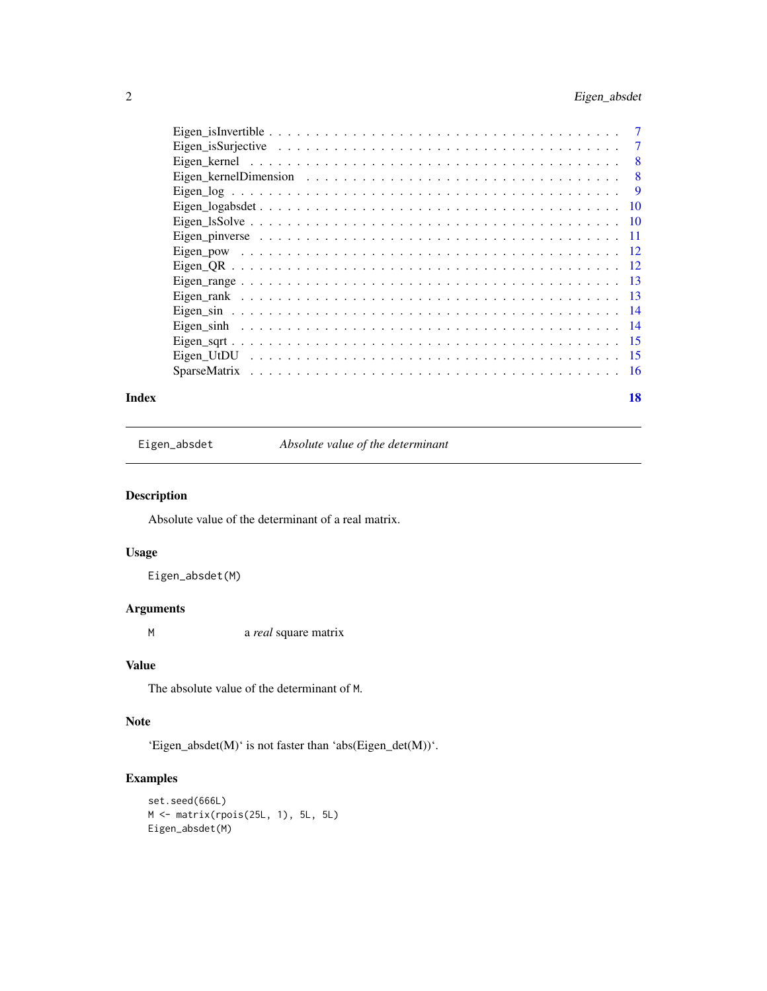# <span id="page-1-0"></span>2 Eigen\_absdet

|  | 7    |
|--|------|
|  | 8    |
|  | 8    |
|  | 9    |
|  | - 10 |
|  |      |
|  |      |
|  |      |
|  |      |
|  |      |
|  |      |
|  |      |
|  |      |
|  |      |
|  |      |
|  |      |
|  |      |

#### **Index** 2008 **[18](#page-17-0)**

Eigen\_absdet *Absolute value of the determinant*

# Description

Absolute value of the determinant of a real matrix.

# Usage

Eigen\_absdet(M)

# Arguments

M a *real* square matrix

# Value

The absolute value of the determinant of M.

# Note

'Eigen\_absdet(M)' is not faster than 'abs(Eigen\_det(M))'.

```
set.seed(666L)
M <- matrix(rpois(25L, 1), 5L, 5L)
Eigen_absdet(M)
```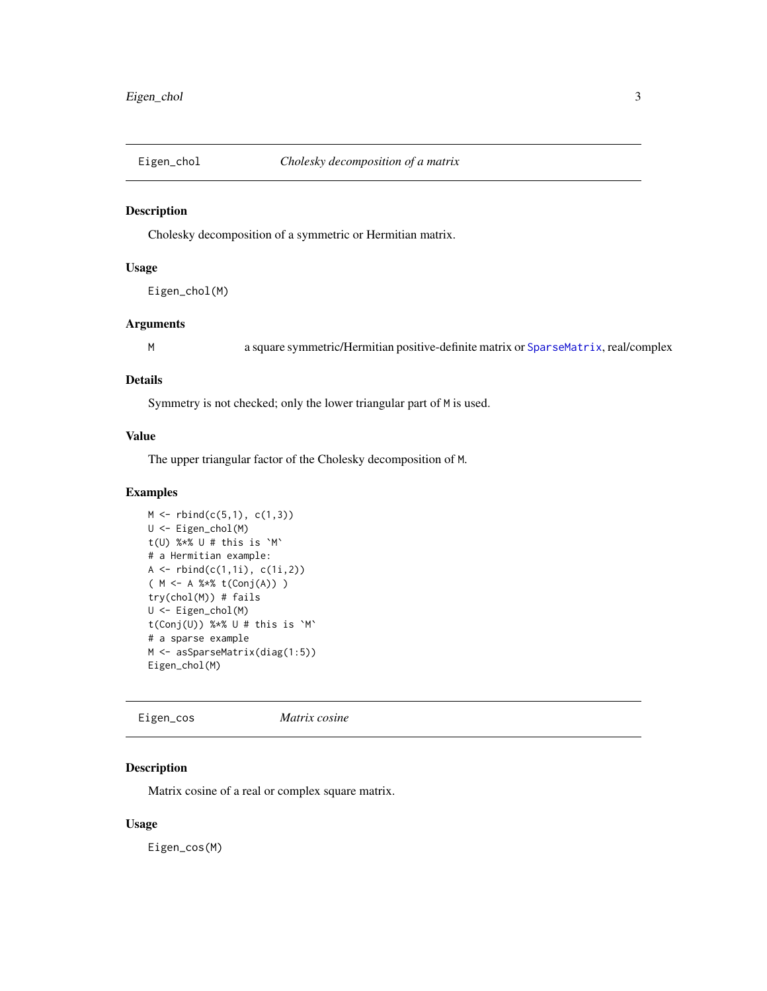<span id="page-2-0"></span>

Cholesky decomposition of a symmetric or Hermitian matrix.

## Usage

Eigen\_chol(M)

# Arguments

M a square symmetric/Hermitian positive-definite matrix or [SparseMatrix](#page-15-1), real/complex

#### Details

Symmetry is not checked; only the lower triangular part of M is used.

#### Value

The upper triangular factor of the Cholesky decomposition of M.

#### Examples

```
M \leftarrow \text{rbind}(c(5,1), c(1,3))U <- Eigen_chol(M)
t(U) %*% U # this is `M`
# a Hermitian example:
A \leftarrow \text{rbind}(c(1,1i), c(1i,2))( M <- A %*% t(Conj(A)) )
try(chol(M)) # fails
U <- Eigen_chol(M)
t(Conj(U)) %*% U # this is `M`
# a sparse example
M <- asSparseMatrix(diag(1:5))
Eigen_chol(M)
```
Eigen\_cos *Matrix cosine*

# Description

Matrix cosine of a real or complex square matrix.

### Usage

Eigen\_cos(M)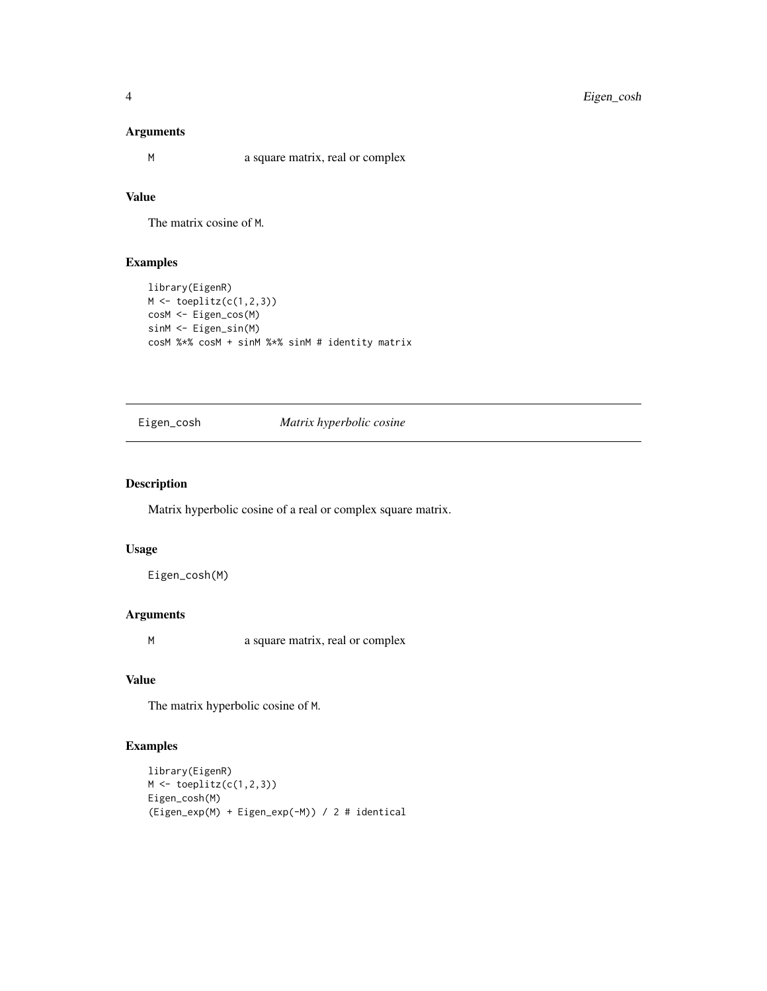### <span id="page-3-0"></span>Arguments

M a square matrix, real or complex

# Value

The matrix cosine of M.

# Examples

```
library(EigenR)
M \leftarrow \text{toe}(c(1,2,3))cosM <- Eigen_cos(M)
sinM <- Eigen_sin(M)
cosM %*% cosM + sinM %*% sinM # identity matrix
```
Eigen\_cosh *Matrix hyperbolic cosine*

# Description

Matrix hyperbolic cosine of a real or complex square matrix.

# Usage

Eigen\_cosh(M)

# Arguments

M a square matrix, real or complex

#### Value

The matrix hyperbolic cosine of M.

```
library(EigenR)
M \leftarrow \text{toeplitz}(c(1,2,3))Eigen_cosh(M)
(Eigen_exp(M) + Eigen_exp(-M)) / 2 # identical
```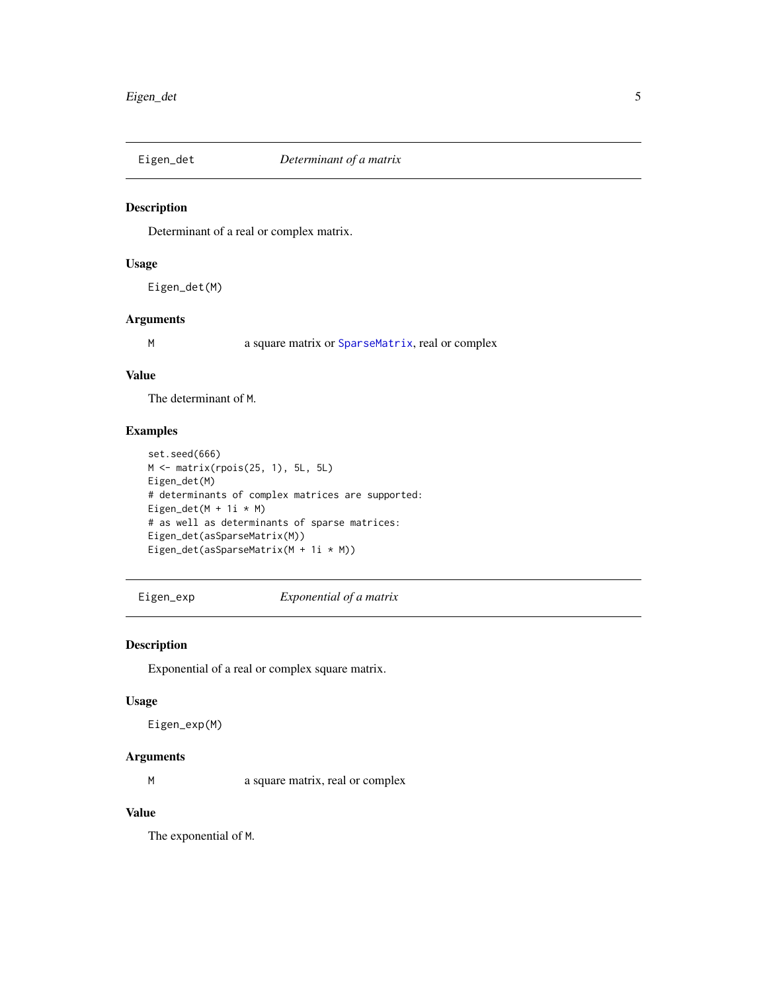<span id="page-4-0"></span>

Determinant of a real or complex matrix.

#### Usage

Eigen\_det(M)

#### Arguments

M a square matrix or [SparseMatrix](#page-15-1), real or complex

#### Value

The determinant of M.

#### Examples

```
set.seed(666)
M <- matrix(rpois(25, 1), 5L, 5L)
Eigen_det(M)
# determinants of complex matrices are supported:
Eigen_det(M + 1i * M)
# as well as determinants of sparse matrices:
Eigen_det(asSparseMatrix(M))
Eigen_det(asSparseMatrix(M + 1i * M))
```
Eigen\_exp *Exponential of a matrix*

# Description

Exponential of a real or complex square matrix.

# Usage

Eigen\_exp(M)

#### Arguments

M a square matrix, real or complex

# Value

The exponential of M.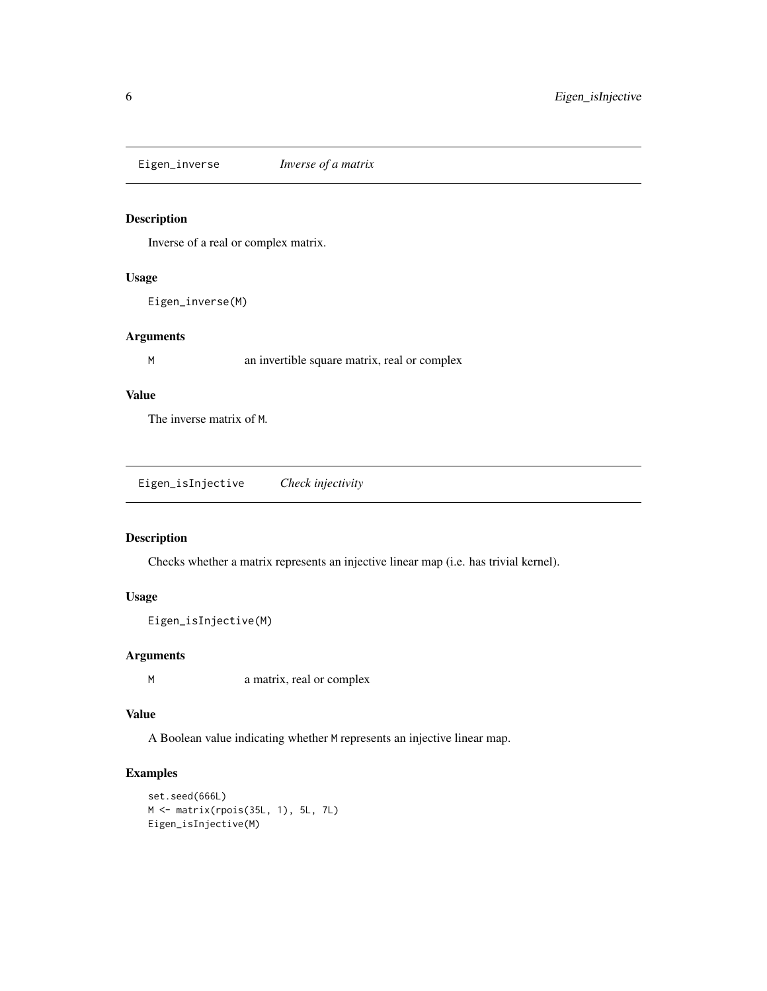<span id="page-5-0"></span>Eigen\_inverse *Inverse of a matrix*

# Description

Inverse of a real or complex matrix.

#### Usage

Eigen\_inverse(M)

#### Arguments

M an invertible square matrix, real or complex

# Value

The inverse matrix of M.

<span id="page-5-1"></span>Eigen\_isInjective *Check injectivity*

# Description

Checks whether a matrix represents an injective linear map (i.e. has trivial kernel).

# Usage

```
Eigen_isInjective(M)
```
#### Arguments

M a matrix, real or complex

#### Value

A Boolean value indicating whether M represents an injective linear map.

```
set.seed(666L)
M <- matrix(rpois(35L, 1), 5L, 7L)
Eigen_isInjective(M)
```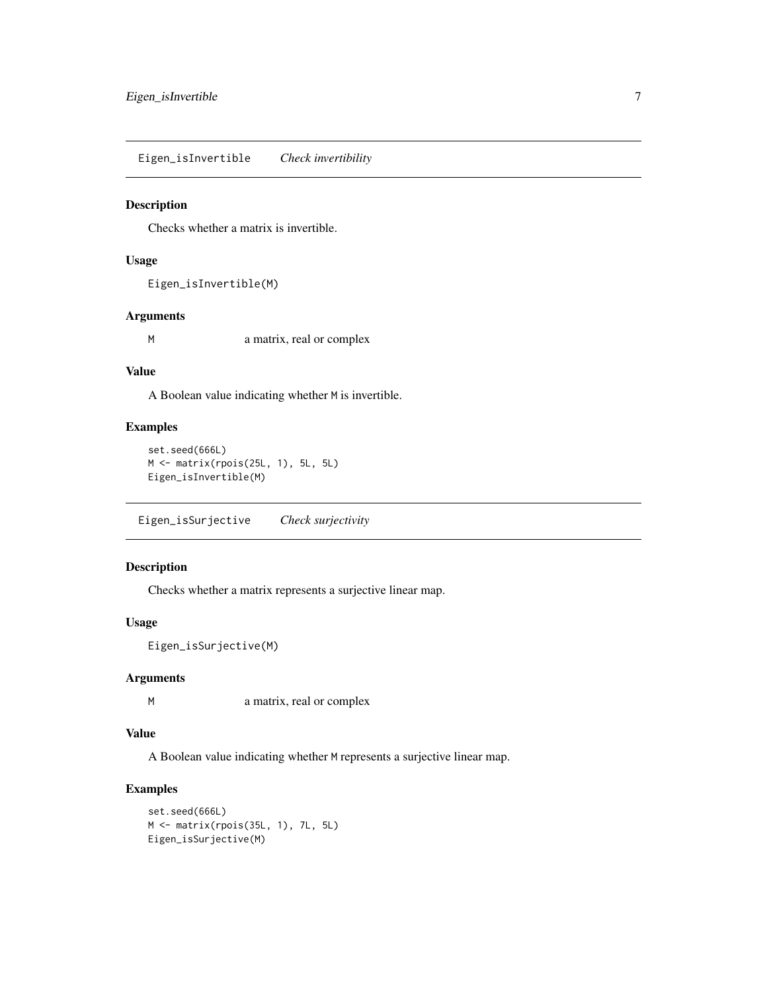<span id="page-6-0"></span>Eigen\_isInvertible *Check invertibility*

#### Description

Checks whether a matrix is invertible.

# Usage

```
Eigen_isInvertible(M)
```
# Arguments

M a matrix, real or complex

# Value

A Boolean value indicating whether M is invertible.

# Examples

```
set.seed(666L)
M <- matrix(rpois(25L, 1), 5L, 5L)
Eigen_isInvertible(M)
```
Eigen\_isSurjective *Check surjectivity*

# Description

Checks whether a matrix represents a surjective linear map.

#### Usage

```
Eigen_isSurjective(M)
```
# Arguments

M a matrix, real or complex

#### Value

A Boolean value indicating whether M represents a surjective linear map.

```
set.seed(666L)
M <- matrix(rpois(35L, 1), 7L, 5L)
Eigen_isSurjective(M)
```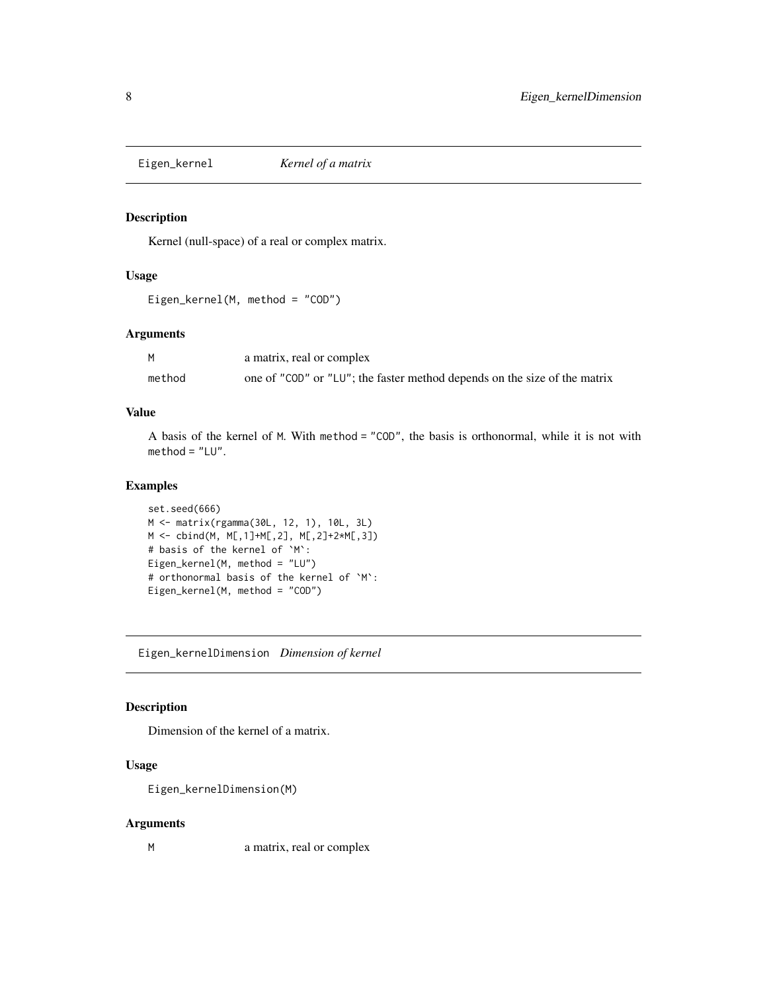<span id="page-7-1"></span><span id="page-7-0"></span>

Kernel (null-space) of a real or complex matrix.

# Usage

```
Eigen_kernel(M, method = "COD")
```
#### Arguments

|        | a matrix, real or complex                                                 |
|--------|---------------------------------------------------------------------------|
| method | one of "COD" or "LU"; the faster method depends on the size of the matrix |

#### Value

A basis of the kernel of M. With method = "COD", the basis is orthonormal, while it is not with method = "LU".

#### Examples

```
set.seed(666)
M <- matrix(rgamma(30L, 12, 1), 10L, 3L)
M <- cbind(M, M[,1]+M[,2], M[,2]+2*M[,3])
# basis of the kernel of `M`:
Eigen_kernel(M, method = "LU")
# orthonormal basis of the kernel of `M`:
Eigen_kernel(M, method = "COD")
```
Eigen\_kernelDimension *Dimension of kernel*

# Description

Dimension of the kernel of a matrix.

# Usage

Eigen\_kernelDimension(M)

#### Arguments

M a matrix, real or complex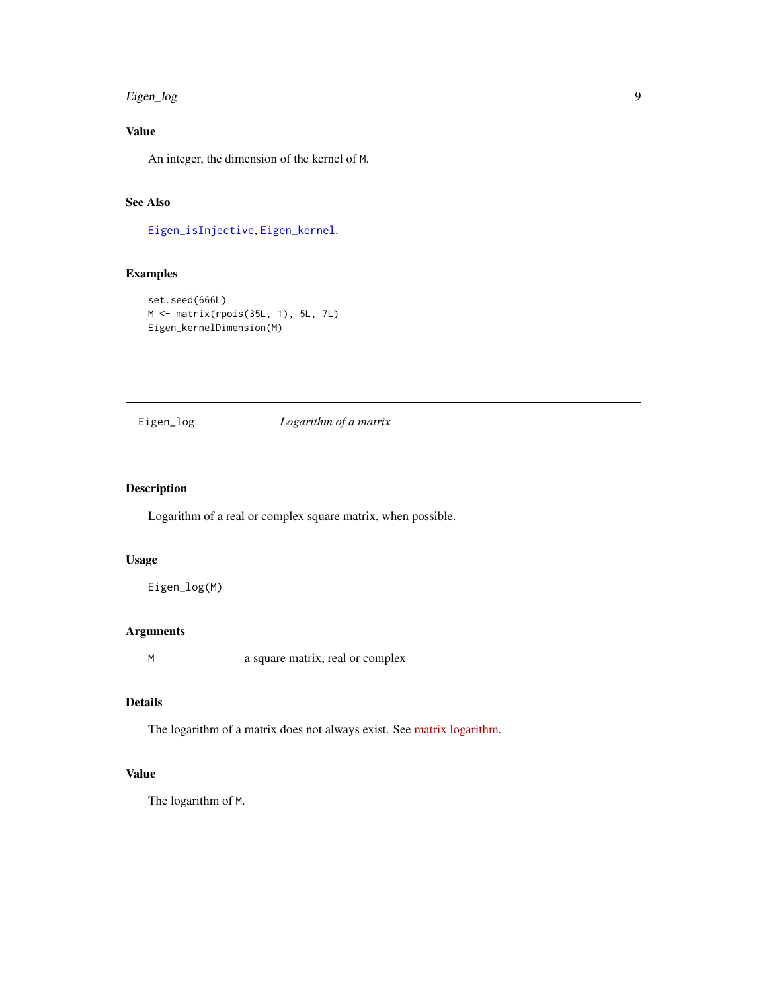# <span id="page-8-0"></span>Eigen\_log 9

# Value

An integer, the dimension of the kernel of M.

#### See Also

[Eigen\\_isInjective](#page-5-1), [Eigen\\_kernel](#page-7-1).

# Examples

```
set.seed(666L)
M <- matrix(rpois(35L, 1), 5L, 7L)
Eigen_kernelDimension(M)
```
Eigen\_log *Logarithm of a matrix*

# Description

Logarithm of a real or complex square matrix, when possible.

#### Usage

Eigen\_log(M)

# Arguments

M a square matrix, real or complex

# Details

The logarithm of a matrix does not always exist. See [matrix logarithm.](https://eigen.tuxfamily.org/dox/unsupported/group__MatrixFunctions__Module.html#title7)

# Value

The logarithm of M.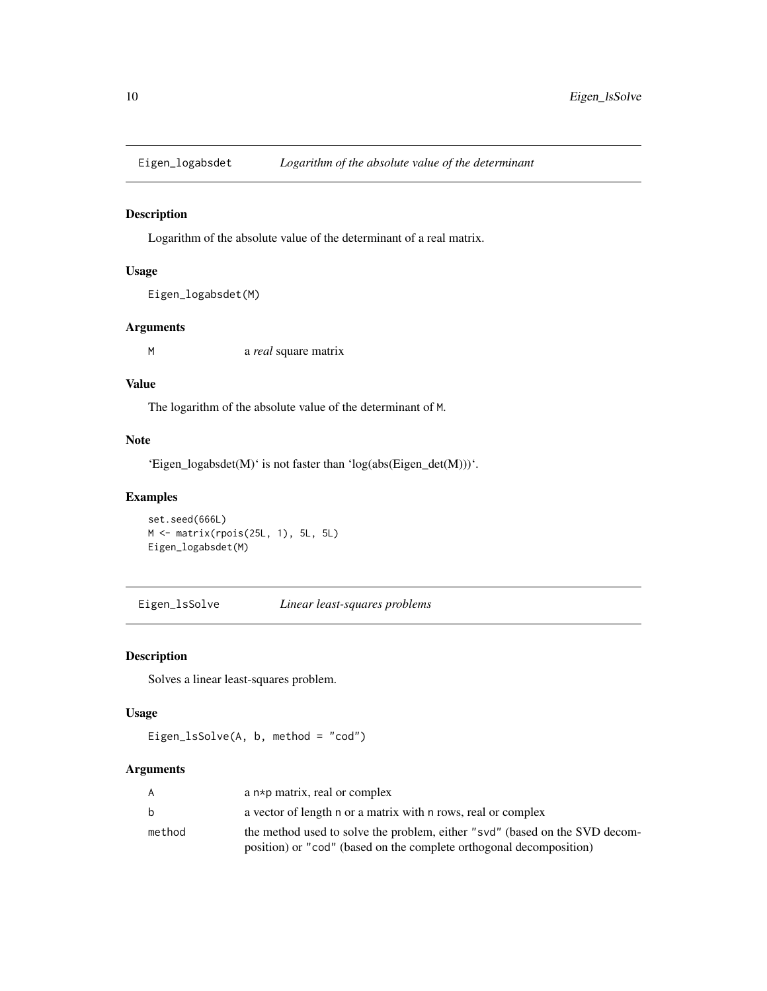<span id="page-9-0"></span>

Logarithm of the absolute value of the determinant of a real matrix.

#### Usage

```
Eigen_logabsdet(M)
```
#### Arguments

M a *real* square matrix

#### Value

The logarithm of the absolute value of the determinant of M.

#### Note

'Eigen\_logabsdet(M)' is not faster than 'log(abs(Eigen\_det(M)))'.

#### Examples

set.seed(666L) M <- matrix(rpois(25L, 1), 5L, 5L) Eigen\_logabsdet(M)

Eigen\_lsSolve *Linear least-squares problems*

#### Description

Solves a linear least-squares problem.

#### Usage

```
Eigen_lsSolve(A, b, method = "cod")
```
#### Arguments

| A      | a $n * p$ matrix, real or complex                                           |
|--------|-----------------------------------------------------------------------------|
| b      | a vector of length n or a matrix with n rows, real or complex               |
| method | the method used to solve the problem, either "svd" (based on the SVD decom- |
|        | position) or "cod" (based on the complete orthogonal decomposition)         |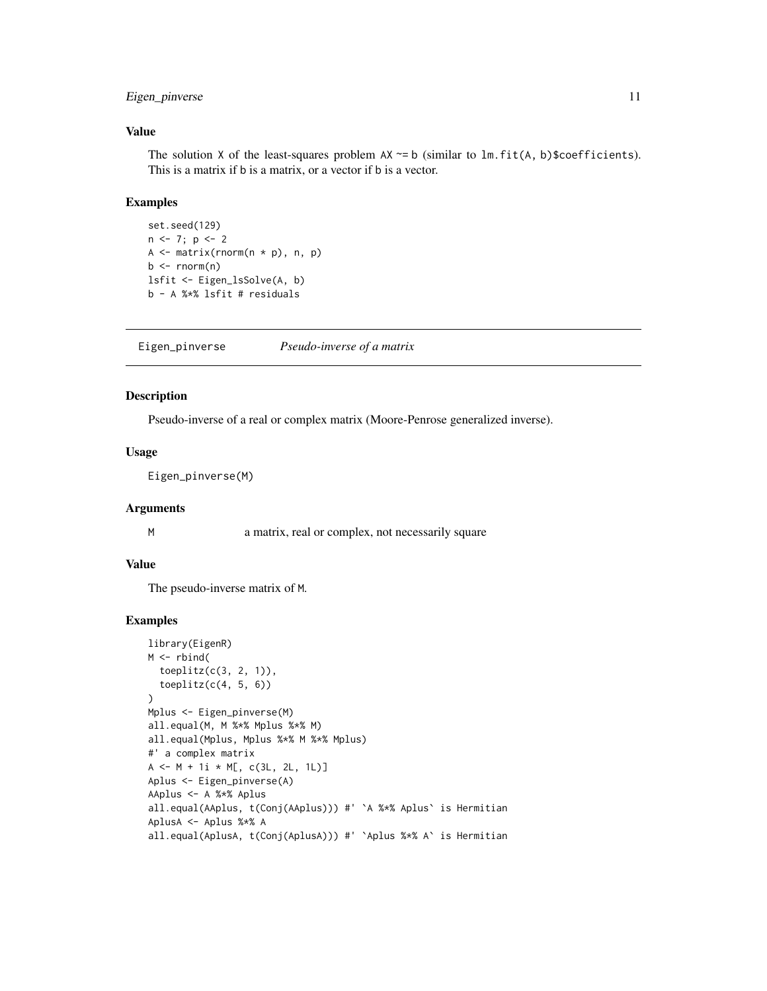# <span id="page-10-0"></span>Eigen\_pinverse 11

#### Value

The solution X of the least-squares problem  $AX \sim b$  (similar to  $lm.fit(A, b)$ \$coefficients). This is a matrix if b is a matrix, or a vector if b is a vector.

#### Examples

```
set.seed(129)
n \leftarrow 7; p \leftarrow 2A \leftarrow matrix(rnorm(n * p), n, p)b \leq -rnorm(n)lsfit <- Eigen_lsSolve(A, b)
b - A %*% lsfit # residuals
```
Eigen\_pinverse *Pseudo-inverse of a matrix*

#### Description

Pseudo-inverse of a real or complex matrix (Moore-Penrose generalized inverse).

#### Usage

Eigen\_pinverse(M)

#### Arguments

M a matrix, real or complex, not necessarily square

# Value

The pseudo-inverse matrix of M.

```
library(EigenR)
M \leftarrow \text{rbind}(toeplitz(c(3, 2, 1)),
  toeplitz(c(4, 5, 6))\lambdaMplus <- Eigen_pinverse(M)
all.equal(M, M %*% Mplus %*% M)
all.equal(Mplus, Mplus %*% M %*% Mplus)
#' a complex matrix
A \leq -M + 1i \times M[, C(3L, 2L, 1L)]Aplus <- Eigen_pinverse(A)
AAplus <- A %*% Aplus
all.equal(AAplus, t(Conj(AAplus))) #' `A %*% Aplus` is Hermitian
AplusA <- Aplus %*% A
all.equal(AplusA, t(Conj(AplusA))) #' `Aplus %*% A` is Hermitian
```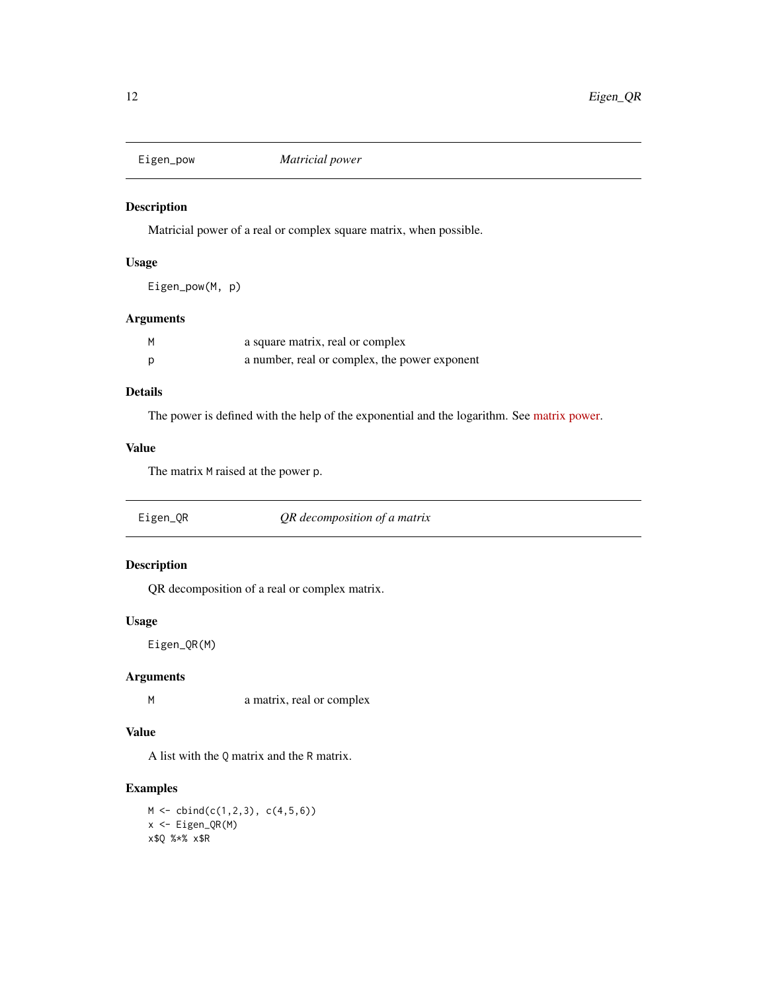<span id="page-11-0"></span>

Matricial power of a real or complex square matrix, when possible.

# Usage

Eigen\_pow(M, p)

# Arguments

| M | a square matrix, real or complex              |
|---|-----------------------------------------------|
|   | a number, real or complex, the power exponent |

# Details

The power is defined with the help of the exponential and the logarithm. See [matrix power.](https://eigen.tuxfamily.org/dox/unsupported/group__MatrixFunctions__Module.html#title8)

# Value

The matrix M raised at the power p.

Eigen\_QR *QR decomposition of a matrix*

# Description

QR decomposition of a real or complex matrix.

#### Usage

Eigen\_QR(M)

#### Arguments

M a matrix, real or complex

## Value

A list with the Q matrix and the R matrix.

# Examples

 $M \leftarrow \text{cbind}(c(1,2,3), c(4,5,6))$ x <- Eigen\_QR(M) x\$Q %\*% x\$R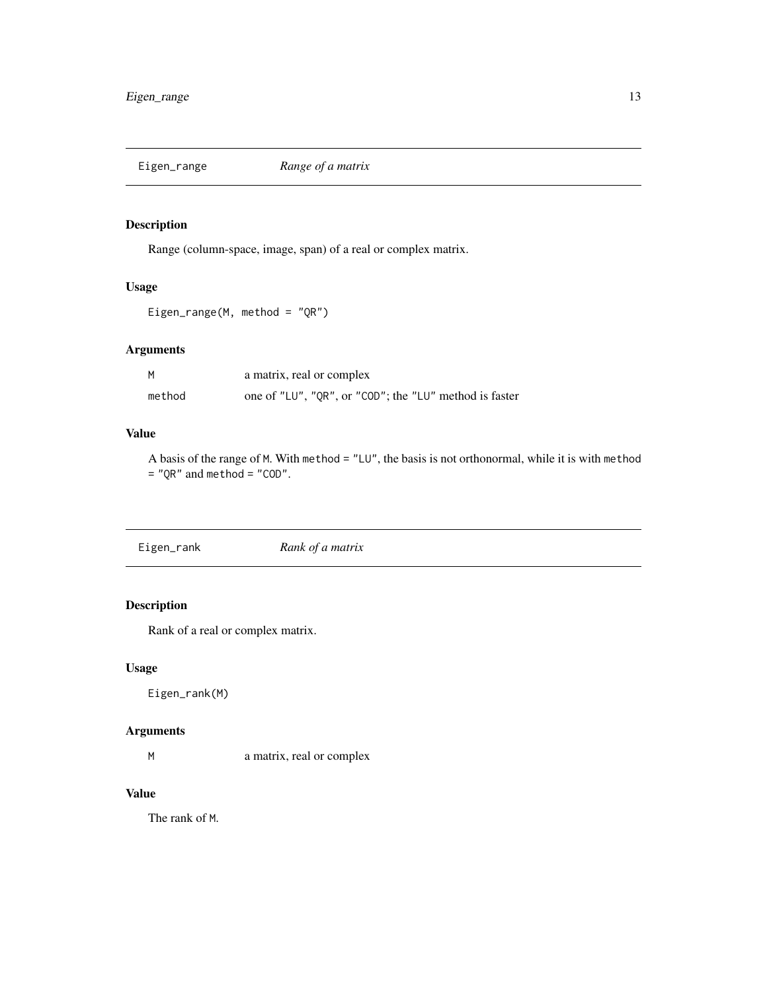<span id="page-12-0"></span>

Range (column-space, image, span) of a real or complex matrix.

#### Usage

Eigen\_range(M, method = "QR")

# Arguments

| м      | a matrix, real or complex                              |
|--------|--------------------------------------------------------|
| method | one of "LU", "QR", or "COD"; the "LU" method is faster |

# Value

A basis of the range of M. With method = "LU", the basis is not orthonormal, while it is with method  $=$  "QR" and method  $=$  "COD".

Eigen\_rank *Rank of a matrix*

# Description

Rank of a real or complex matrix.

#### Usage

Eigen\_rank(M)

### Arguments

M a matrix, real or complex

### Value

The rank of M.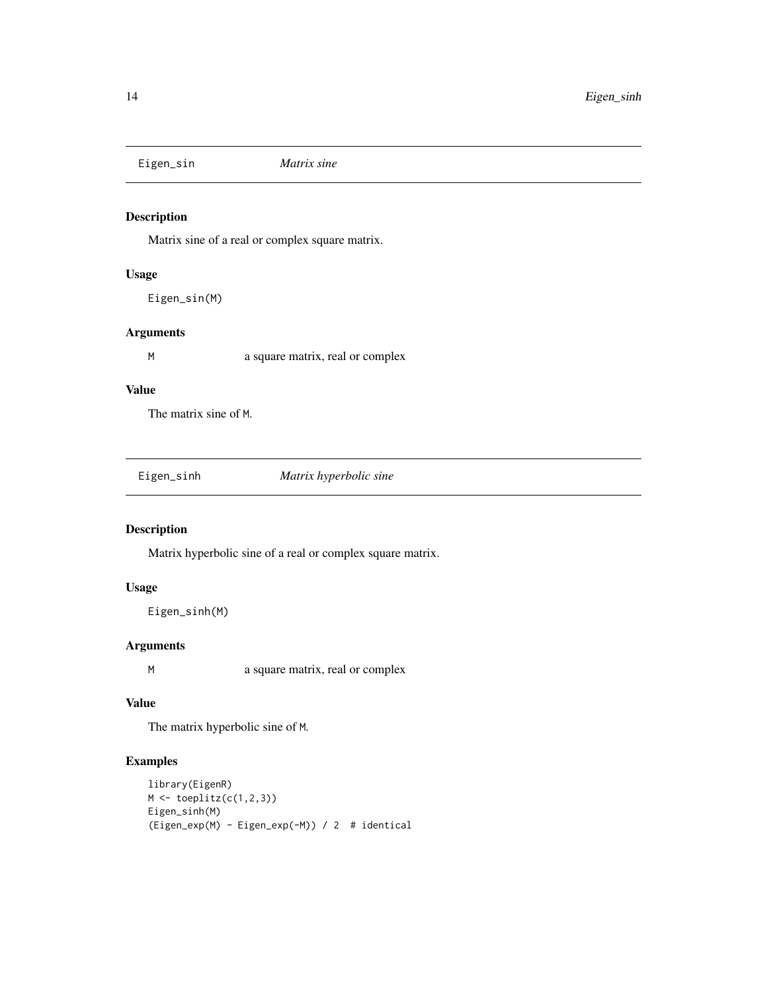<span id="page-13-0"></span>Eigen\_sin *Matrix sine*

# Description

Matrix sine of a real or complex square matrix.

# Usage

Eigen\_sin(M)

#### Arguments

M a square matrix, real or complex

#### Value

The matrix sine of M.

Eigen\_sinh *Matrix hyperbolic sine*

# Description

Matrix hyperbolic sine of a real or complex square matrix.

# Usage

Eigen\_sinh(M)

# Arguments

M a square matrix, real or complex

#### Value

The matrix hyperbolic sine of M.

```
library(EigenR)
M \leftarrow \text{toeplitz}(c(1,2,3))Eigen_sinh(M)
(Eigen_exp(M) - Eigen_exp(-M)) / 2 # identical
```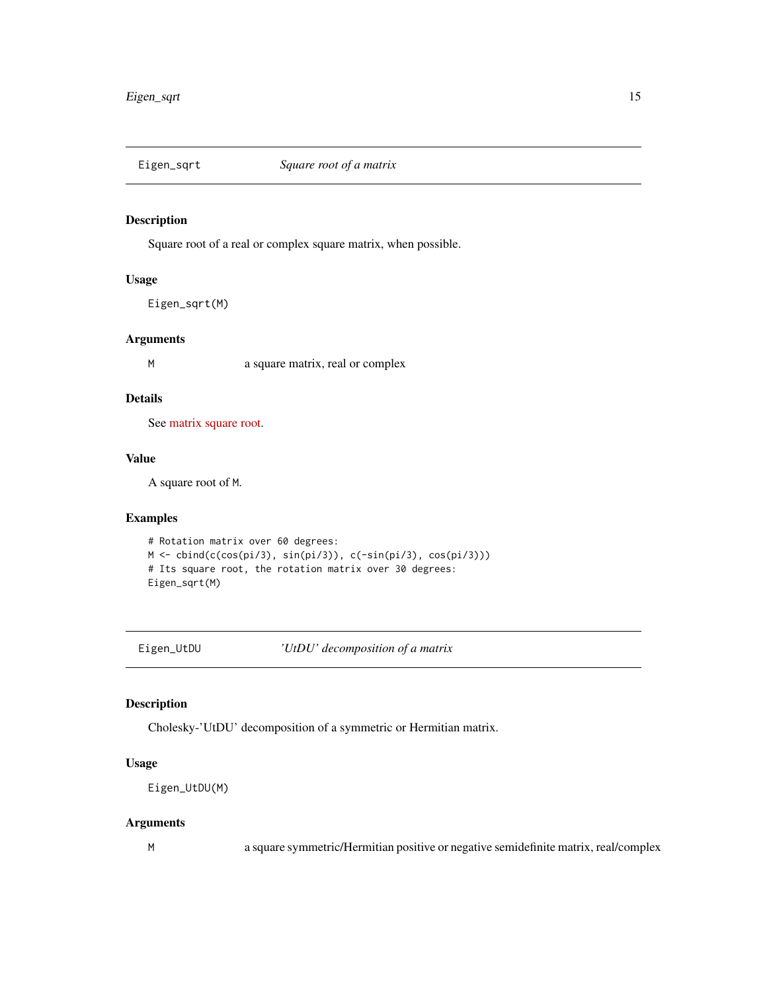<span id="page-14-0"></span>

Square root of a real or complex square matrix, when possible.

#### Usage

Eigen\_sqrt(M)

#### Arguments

M a square matrix, real or complex

#### Details

See [matrix square root.](https://eigen.tuxfamily.org/dox/unsupported/group__MatrixFunctions__Module.html#title12)

#### Value

A square root of M.

#### Examples

```
# Rotation matrix over 60 degrees:
M <- cbind(c(cos(pi/3), sin(pi/3)), c(-sin(pi/3), cos(pi/3)))
# Its square root, the rotation matrix over 30 degrees:
Eigen_sqrt(M)
```
Eigen\_UtDU *'UtDU' decomposition of a matrix*

#### Description

Cholesky-'UtDU' decomposition of a symmetric or Hermitian matrix.

# Usage

Eigen\_UtDU(M)

#### Arguments

M a square symmetric/Hermitian positive or negative semidefinite matrix, real/complex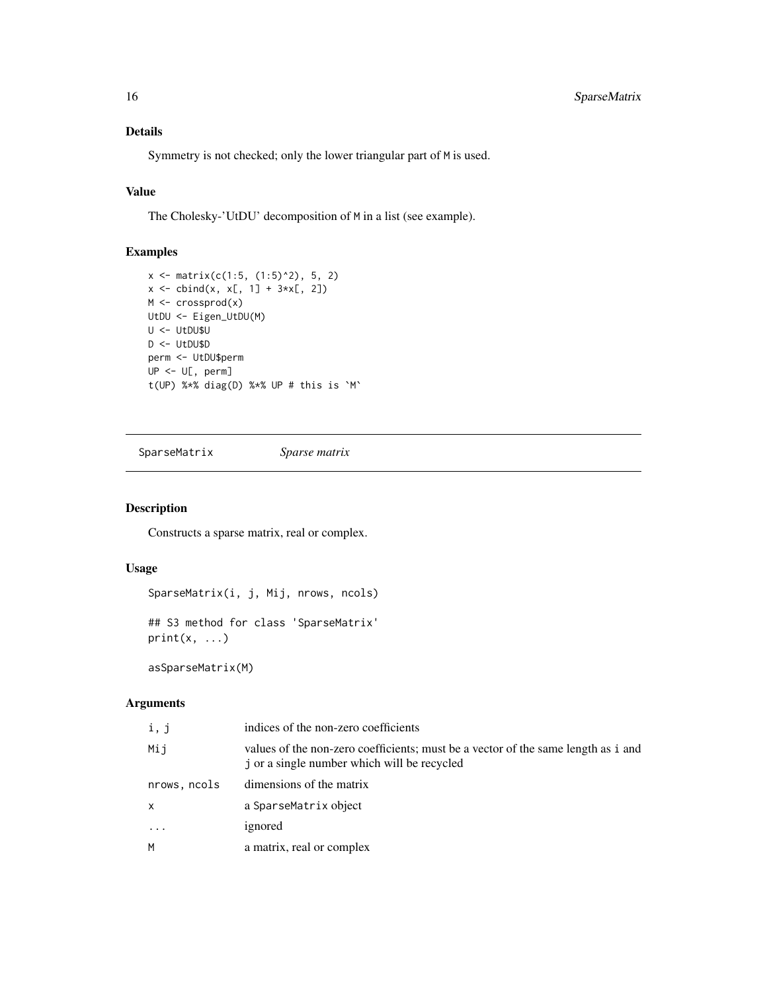# <span id="page-15-0"></span>Details

Symmetry is not checked; only the lower triangular part of M is used.

# Value

The Cholesky-'UtDU' decomposition of M in a list (see example).

# Examples

```
x \le - matrix(c(1:5, (1:5)^2), 5, 2)
x \le - \text{cbind}(x, x[, 1] + 3*x[, 2])M <- crossprod(x)
UtDU <- Eigen_UtDU(M)
U <- UtDU$U
D <- UtDU$D
perm <- UtDU$perm
UP <- U[, perm]
t(UP) %*% diag(D) %*% UP # this is `M`
```
<span id="page-15-1"></span>SparseMatrix *Sparse matrix*

# Description

Constructs a sparse matrix, real or complex.

#### Usage

SparseMatrix(i, j, Mij, nrows, ncols)

## S3 method for class 'SparseMatrix'  $print(x, \ldots)$ 

asSparseMatrix(M)

# Arguments

| i, j         | indices of the non-zero coefficients                                                                                             |
|--------------|----------------------------------------------------------------------------------------------------------------------------------|
| Mij          | values of the non-zero coefficients; must be a vector of the same length as i and<br>j or a single number which will be recycled |
| nrows, ncols | dimensions of the matrix                                                                                                         |
| X            | a SparseMatrix object                                                                                                            |
| $\ddots$ .   | ignored                                                                                                                          |
| M            | a matrix, real or complex                                                                                                        |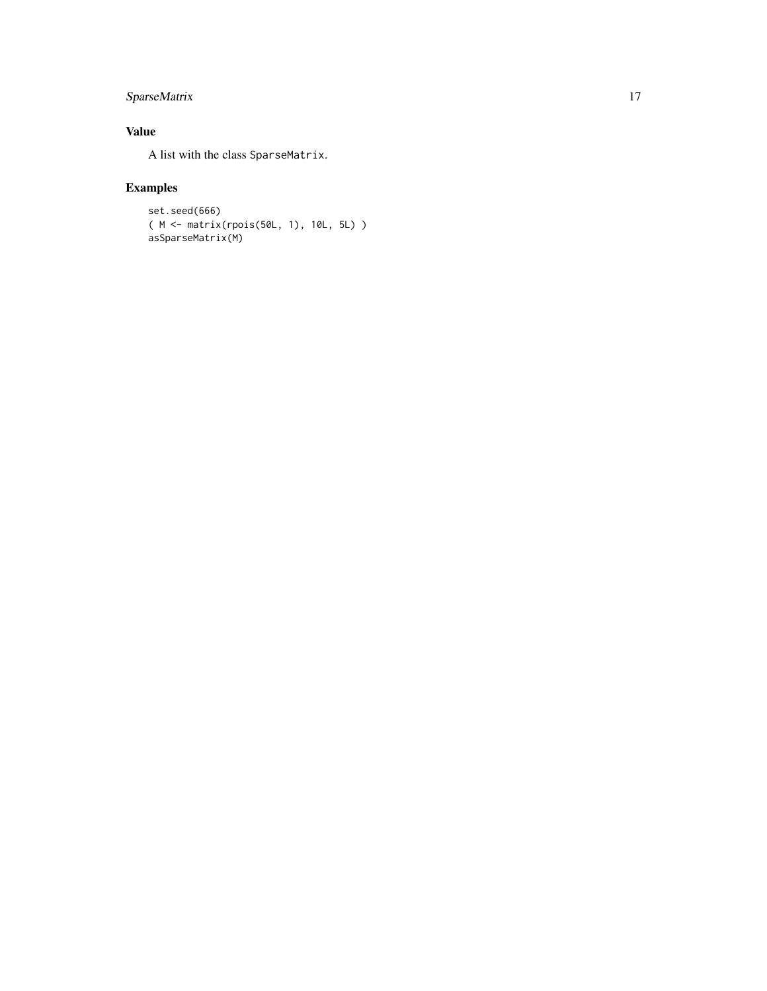# SparseMatrix 17

# Value

A list with the class SparseMatrix.

```
set.seed(666)
( M <- matrix(rpois(50L, 1), 10L, 5L) )
asSparseMatrix(M)
```